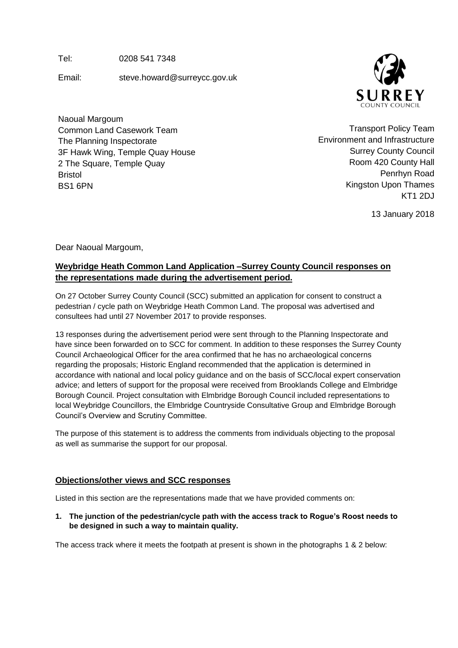Tel: 0208 541 7348

Email: steve.howard@surreycc.gov.uk



Naoual Margoum Common Land Casework Team The Planning Inspectorate 3F Hawk Wing, Temple Quay House 2 The Square, Temple Quay Bristol BS1 6PN

Transport Policy Team Environment and Infrastructure Surrey County Council Room 420 County Hall Penrhyn Road Kingston Upon Thames KT1 2DJ

13 January 2018

Dear Naoual Margoum,

# **Weybridge Heath Common Land Application –Surrey County Council responses on the representations made during the advertisement period.**

On 27 October Surrey County Council (SCC) submitted an application for consent to construct a pedestrian / cycle path on Weybridge Heath Common Land. The proposal was advertised and consultees had until 27 November 2017 to provide responses.

13 responses during the advertisement period were sent through to the Planning Inspectorate and have since been forwarded on to SCC for comment. In addition to these responses the Surrey County Council Archaeological Officer for the area confirmed that he has no archaeological concerns regarding the proposals; Historic England recommended that the application is determined in accordance with national and local policy guidance and on the basis of SCC/local expert conservation advice; and letters of support for the proposal were received from Brooklands College and Elmbridge Borough Council. Project consultation with Elmbridge Borough Council included representations to local Weybridge Councillors, the Elmbridge Countryside Consultative Group and Elmbridge Borough Council's Overview and Scrutiny Committee.

The purpose of this statement is to address the comments from individuals objecting to the proposal as well as summarise the support for our proposal.

## **Objections/other views and SCC responses**

Listed in this section are the representations made that we have provided comments on:

**1. The junction of the pedestrian/cycle path with the access track to Rogue's Roost needs to be designed in such a way to maintain quality.**

The access track where it meets the footpath at present is shown in the photographs 1 & 2 below: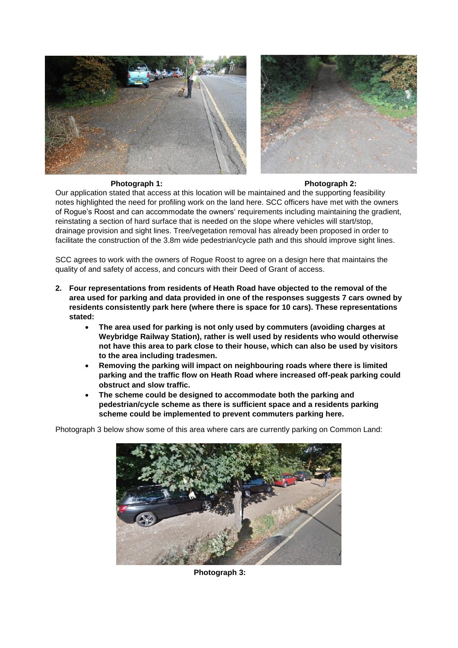



#### **Photograph 1: Photograph 2:**

Our application stated that access at this location will be maintained and the supporting feasibility notes highlighted the need for profiling work on the land here. SCC officers have met with the owners of Rogue's Roost and can accommodate the owners' requirements including maintaining the gradient, reinstating a section of hard surface that is needed on the slope where vehicles will start/stop, drainage provision and sight lines. Tree/vegetation removal has already been proposed in order to facilitate the construction of the 3.8m wide pedestrian/cycle path and this should improve sight lines.

SCC agrees to work with the owners of Rogue Roost to agree on a design here that maintains the quality of and safety of access, and concurs with their Deed of Grant of access.

- **2. Four representations from residents of Heath Road have objected to the removal of the area used for parking and data provided in one of the responses suggests 7 cars owned by residents consistently park here (where there is space for 10 cars). These representations stated:** 
	- **The area used for parking is not only used by commuters (avoiding charges at Weybridge Railway Station), rather is well used by residents who would otherwise not have this area to park close to their house, which can also be used by visitors to the area including tradesmen.**
	- **Removing the parking will impact on neighbouring roads where there is limited parking and the traffic flow on Heath Road where increased off-peak parking could obstruct and slow traffic.**
	- **The scheme could be designed to accommodate both the parking and pedestrian/cycle scheme as there is sufficient space and a residents parking scheme could be implemented to prevent commuters parking here.**

Photograph 3 below show some of this area where cars are currently parking on Common Land:



**Photograph 3:**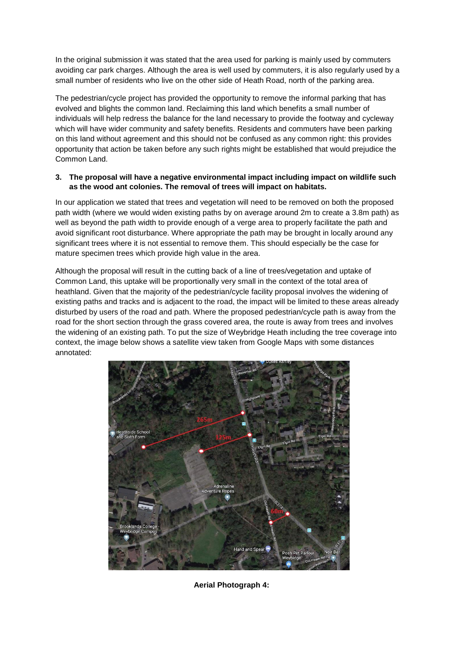In the original submission it was stated that the area used for parking is mainly used by commuters avoiding car park charges. Although the area is well used by commuters, it is also regularly used by a small number of residents who live on the other side of Heath Road, north of the parking area.

The pedestrian/cycle project has provided the opportunity to remove the informal parking that has evolved and blights the common land. Reclaiming this land which benefits a small number of individuals will help redress the balance for the land necessary to provide the footway and cycleway which will have wider community and safety benefits. Residents and commuters have been parking on this land without agreement and this should not be confused as any common right: this provides opportunity that action be taken before any such rights might be established that would prejudice the Common Land.

#### **3. The proposal will have a negative environmental impact including impact on wildlife such as the wood ant colonies. The removal of trees will impact on habitats.**

In our application we stated that trees and vegetation will need to be removed on both the proposed path width (where we would widen existing paths by on average around 2m to create a 3.8m path) as well as beyond the path width to provide enough of a verge area to properly facilitate the path and avoid significant root disturbance. Where appropriate the path may be brought in locally around any significant trees where it is not essential to remove them. This should especially be the case for mature specimen trees which provide high value in the area.

Although the proposal will result in the cutting back of a line of trees/vegetation and uptake of Common Land, this uptake will be proportionally very small in the context of the total area of heathland. Given that the majority of the pedestrian/cycle facility proposal involves the widening of existing paths and tracks and is adjacent to the road, the impact will be limited to these areas already disturbed by users of the road and path. Where the proposed pedestrian/cycle path is away from the road for the short section through the grass covered area, the route is away from trees and involves the widening of an existing path. To put the size of Weybridge Heath including the tree coverage into context, the image below shows a satellite view taken from Google Maps with some distances annotated:



**Aerial Photograph 4:**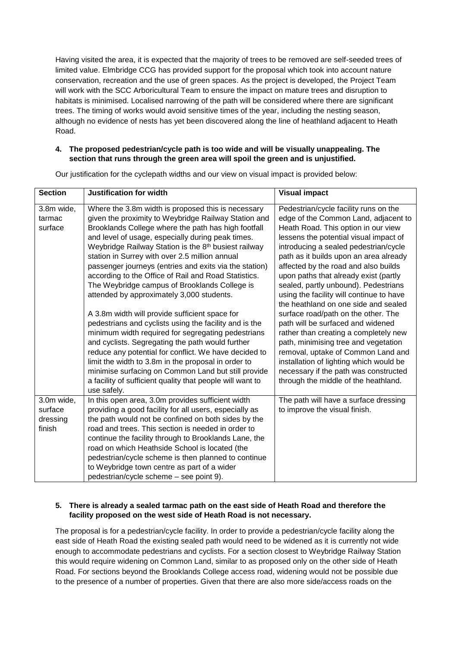Having visited the area, it is expected that the majority of trees to be removed are self-seeded trees of limited value. Elmbridge CCG has provided support for the proposal which took into account nature conservation, recreation and the use of green spaces. As the project is developed, the Project Team will work with the SCC Arboricultural Team to ensure the impact on mature trees and disruption to habitats is minimised. Localised narrowing of the path will be considered where there are significant trees. The timing of works would avoid sensitive times of the year, including the nesting season, although no evidence of nests has yet been discovered along the line of heathland adjacent to Heath Road.

### **4. The proposed pedestrian/cycle path is too wide and will be visually unappealing. The section that runs through the green area will spoil the green and is unjustified.**

| <b>Section</b>                              | <b>Justification for width</b>                                                                                                                                                                                                                                                                                                                                                                                                                                                                                                                                                                                                                                                                                                                                                                                                                                                                                                                                                                                                        | <b>Visual impact</b>                                                                                                                                                                                                                                                                                                                                                                                                                                                                                                                                                                                                                                                                                                                                                                          |
|---------------------------------------------|---------------------------------------------------------------------------------------------------------------------------------------------------------------------------------------------------------------------------------------------------------------------------------------------------------------------------------------------------------------------------------------------------------------------------------------------------------------------------------------------------------------------------------------------------------------------------------------------------------------------------------------------------------------------------------------------------------------------------------------------------------------------------------------------------------------------------------------------------------------------------------------------------------------------------------------------------------------------------------------------------------------------------------------|-----------------------------------------------------------------------------------------------------------------------------------------------------------------------------------------------------------------------------------------------------------------------------------------------------------------------------------------------------------------------------------------------------------------------------------------------------------------------------------------------------------------------------------------------------------------------------------------------------------------------------------------------------------------------------------------------------------------------------------------------------------------------------------------------|
| 3.8m wide,<br>tarmac<br>surface             | Where the 3.8m width is proposed this is necessary<br>given the proximity to Weybridge Railway Station and<br>Brooklands College where the path has high footfall<br>and level of usage, especially during peak times.<br>Weybridge Railway Station is the 8 <sup>th</sup> busiest railway<br>station in Surrey with over 2.5 million annual<br>passenger journeys (entries and exits via the station)<br>according to the Office of Rail and Road Statistics.<br>The Weybridge campus of Brooklands College is<br>attended by approximately 3,000 students.<br>A 3.8m width will provide sufficient space for<br>pedestrians and cyclists using the facility and is the<br>minimum width required for segregating pedestrians<br>and cyclists. Segregating the path would further<br>reduce any potential for conflict. We have decided to<br>limit the width to 3.8m in the proposal in order to<br>minimise surfacing on Common Land but still provide<br>a facility of sufficient quality that people will want to<br>use safely. | Pedestrian/cycle facility runs on the<br>edge of the Common Land, adjacent to<br>Heath Road. This option in our view<br>lessens the potential visual impact of<br>introducing a sealed pedestrian/cycle<br>path as it builds upon an area already<br>affected by the road and also builds<br>upon paths that already exist (partly<br>sealed, partly unbound). Pedestrians<br>using the facility will continue to have<br>the heathland on one side and sealed<br>surface road/path on the other. The<br>path will be surfaced and widened<br>rather than creating a completely new<br>path, minimising tree and vegetation<br>removal, uptake of Common Land and<br>installation of lighting which would be<br>necessary if the path was constructed<br>through the middle of the heathland. |
| 3.0m wide,<br>surface<br>dressing<br>finish | In this open area, 3.0m provides sufficient width<br>providing a good facility for all users, especially as<br>the path would not be confined on both sides by the<br>road and trees. This section is needed in order to<br>continue the facility through to Brooklands Lane, the<br>road on which Heathside School is located (the<br>pedestrian/cycle scheme is then planned to continue<br>to Weybridge town centre as part of a wider<br>pedestrian/cycle scheme - see point 9).                                                                                                                                                                                                                                                                                                                                                                                                                                                                                                                                                  | The path will have a surface dressing<br>to improve the visual finish.                                                                                                                                                                                                                                                                                                                                                                                                                                                                                                                                                                                                                                                                                                                        |

Our justification for the cyclepath widths and our view on visual impact is provided below:

#### **5. There is already a sealed tarmac path on the east side of Heath Road and therefore the facility proposed on the west side of Heath Road is not necessary.**

The proposal is for a pedestrian/cycle facility. In order to provide a pedestrian/cycle facility along the east side of Heath Road the existing sealed path would need to be widened as it is currently not wide enough to accommodate pedestrians and cyclists. For a section closest to Weybridge Railway Station this would require widening on Common Land, similar to as proposed only on the other side of Heath Road. For sections beyond the Brooklands College access road, widening would not be possible due to the presence of a number of properties. Given that there are also more side/access roads on the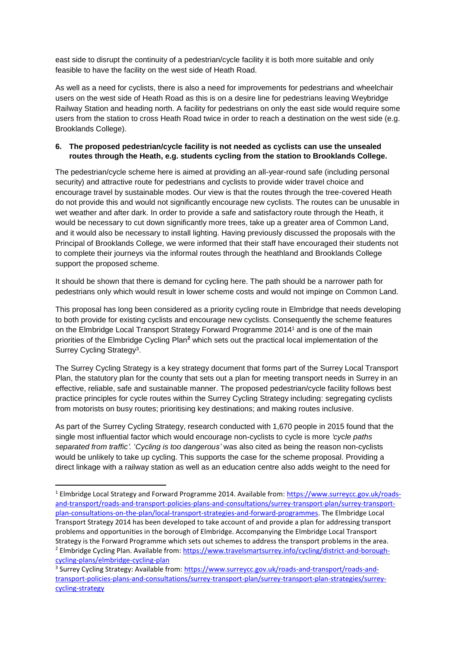east side to disrupt the continuity of a pedestrian/cycle facility it is both more suitable and only feasible to have the facility on the west side of Heath Road.

As well as a need for cyclists, there is also a need for improvements for pedestrians and wheelchair users on the west side of Heath Road as this is on a desire line for pedestrians leaving Weybridge Railway Station and heading north. A facility for pedestrians on only the east side would require some users from the station to cross Heath Road twice in order to reach a destination on the west side (e.g. Brooklands College).

### **6. The proposed pedestrian/cycle facility is not needed as cyclists can use the unsealed routes through the Heath, e.g. students cycling from the station to Brooklands College.**

The pedestrian/cycle scheme here is aimed at providing an all-year-round safe (including personal security) and attractive route for pedestrians and cyclists to provide wider travel choice and encourage travel by sustainable modes. Our view is that the routes through the tree-covered Heath do not provide this and would not significantly encourage new cyclists. The routes can be unusable in wet weather and after dark. In order to provide a safe and satisfactory route through the Heath, it would be necessary to cut down significantly more trees, take up a greater area of Common Land, and it would also be necessary to install lighting. Having previously discussed the proposals with the Principal of Brooklands College, we were informed that their staff have encouraged their students not to complete their journeys via the informal routes through the heathland and Brooklands College support the proposed scheme.

It should be shown that there is demand for cycling here. The path should be a narrower path for pedestrians only which would result in lower scheme costs and would not impinge on Common Land.

This proposal has long been considered as a priority cycling route in Elmbridge that needs developing to both provide for existing cyclists and encourage new cyclists. Consequently the scheme features on the Elmbridge Local Transport Strategy Forward Programme 2014<sup>1</sup> and is one of the main priorities of the Elmbridge Cycling Plan**<sup>2</sup>** which sets out the practical local implementation of the Surrey Cycling Strategy<sup>3</sup>.

The Surrey Cycling Strategy is a key strategy document that forms part of the Surrey Local Transport Plan, the statutory plan for the county that sets out a plan for meeting transport needs in Surrey in an effective, reliable, safe and sustainable manner. The proposed pedestrian/cycle facility follows best practice principles for cycle routes within the Surrey Cycling Strategy including: segregating cyclists from motorists on busy routes; prioritising key destinations; and making routes inclusive.

As part of the Surrey Cycling Strategy, research conducted with 1,670 people in 2015 found that the single most influential factor which would encourage non-cyclists to cycle is more *'cycle paths separated from traffic'.* '*Cycling is too dangerous'* was also cited as being the reason non-cyclists would be unlikely to take up cycling. This supports the case for the scheme proposal. Providing a direct linkage with a railway station as well as an education centre also adds weight to the need for

 $\overline{a}$ 

<sup>&</sup>lt;sup>1</sup> Elmbridge Local Strategy and Forward Programme 2014. Available from: [https://www.surreycc.gov.uk/roads](https://www.surreycc.gov.uk/roads-and-transport/roads-and-transport-policies-plans-and-consultations/surrey-transport-plan/surrey-transport-plan-consultations-on-the-plan/local-transport-strategies-and-forward-programmes)[and-transport/roads-and-transport-policies-plans-and-consultations/surrey-transport-plan/surrey-transport](https://www.surreycc.gov.uk/roads-and-transport/roads-and-transport-policies-plans-and-consultations/surrey-transport-plan/surrey-transport-plan-consultations-on-the-plan/local-transport-strategies-and-forward-programmes)[plan-consultations-on-the-plan/local-transport-strategies-and-forward-programmes.](https://www.surreycc.gov.uk/roads-and-transport/roads-and-transport-policies-plans-and-consultations/surrey-transport-plan/surrey-transport-plan-consultations-on-the-plan/local-transport-strategies-and-forward-programmes) The Elmbridge Local Transport Strategy 2014 has been developed to take account of and provide a plan for addressing transport problems and opportunities in the borough of Elmbridge. Accompanying the Elmbridge Local Transport Strategy is the Forward Programme which sets out schemes to address the transport problems in the area. <sup>2</sup> Elmbridge Cycling Plan. Available from: [https://www.travelsmartsurrey.info/cycling/district-and-borough](https://www.travelsmartsurrey.info/cycling/district-and-borough-cycling-plans/elmbridge-cycling-plan)[cycling-plans/elmbridge-cycling-plan](https://www.travelsmartsurrey.info/cycling/district-and-borough-cycling-plans/elmbridge-cycling-plan)

<sup>&</sup>lt;sup>3</sup> Surrey Cycling Strategy: Available from: [https://www.surreycc.gov.uk/roads-and-transport/roads-and](https://www.surreycc.gov.uk/roads-and-transport/roads-and-transport-policies-plans-and-consultations/surrey-transport-plan/surrey-transport-plan-strategies/surrey-cycling-strategy)[transport-policies-plans-and-consultations/surrey-transport-plan/surrey-transport-plan-strategies/surrey](https://www.surreycc.gov.uk/roads-and-transport/roads-and-transport-policies-plans-and-consultations/surrey-transport-plan/surrey-transport-plan-strategies/surrey-cycling-strategy)[cycling-strategy](https://www.surreycc.gov.uk/roads-and-transport/roads-and-transport-policies-plans-and-consultations/surrey-transport-plan/surrey-transport-plan-strategies/surrey-cycling-strategy)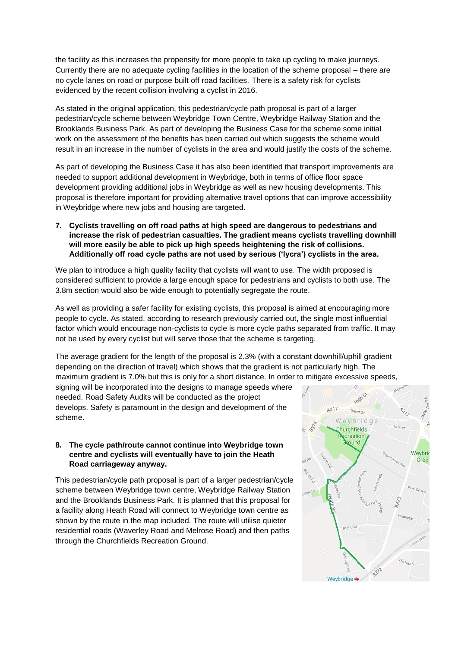the facility as this increases the propensity for more people to take up cycling to make journeys. Currently there are no adequate cycling facilities in the location of the scheme proposal – there are no cycle lanes on road or purpose built off road facilities. There is a safety risk for cyclists evidenced by the recent collision involving a cyclist in 2016.

As stated in the original application, this pedestrian/cycle path proposal is part of a larger pedestrian/cycle scheme between Weybridge Town Centre, Weybridge Railway Station and the Brooklands Business Park. As part of developing the Business Case for the scheme some initial work on the assessment of the benefits has been carried out which suggests the scheme would result in an increase in the number of cyclists in the area and would justify the costs of the scheme.

As part of developing the Business Case it has also been identified that transport improvements are needed to support additional development in Weybridge, both in terms of office floor space development providing additional jobs in Weybridge as well as new housing developments. This proposal is therefore important for providing alternative travel options that can improve accessibility in Weybridge where new jobs and housing are targeted.

**7. Cyclists travelling on off road paths at high speed are dangerous to pedestrians and increase the risk of pedestrian casualties. The gradient means cyclists travelling downhill will more easily be able to pick up high speeds heightening the risk of collisions. Additionally off road cycle paths are not used by serious ('lycra') cyclists in the area.**

We plan to introduce a high quality facility that cyclists will want to use. The width proposed is considered sufficient to provide a large enough space for pedestrians and cyclists to both use. The 3.8m section would also be wide enough to potentially segregate the route.

As well as providing a safer facility for existing cyclists, this proposal is aimed at encouraging more people to cycle. As stated, according to research previously carried out, the single most influential factor which would encourage non-cyclists to cycle is more cycle paths separated from traffic. It may not be used by every cyclist but will serve those that the scheme is targeting.

The average gradient for the length of the proposal is 2.3% (with a constant downhill/uphill gradient depending on the direction of travel) which shows that the gradient is not particularly high. The maximum gradient is 7.0% but this is only for a short distance. In order to mitigate excessive speeds,

signing will be incorporated into the designs to manage speeds where needed. Road Safety Audits will be conducted as the project develops. Safety is paramount in the design and development of the scheme.

#### **8. The cycle path/route cannot continue into Weybridge town centre and cyclists will eventually have to join the Heath Road carriageway anyway.**

This pedestrian/cycle path proposal is part of a larger pedestrian/cycle scheme between Weybridge town centre, Weybridge Railway Station and the Brooklands Business Park. It is planned that this proposal for a facility along Heath Road will connect to Weybridge town centre as shown by the route in the map included. The route will utilise quieter residential roads (Waverley Road and Melrose Road) and then paths through the Churchfields Recreation Ground.

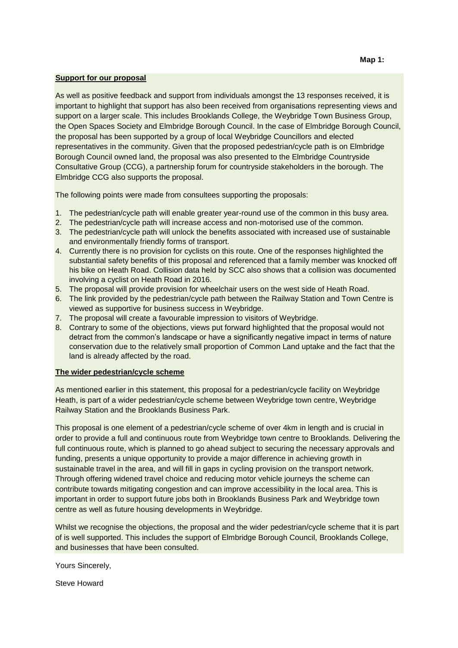#### **Support for our proposal**

As well as positive feedback and support from individuals amongst the 13 responses received, it is important to highlight that support has also been received from organisations representing views and support on a larger scale. This includes Brooklands College, the Weybridge Town Business Group, the Open Spaces Society and Elmbridge Borough Council. In the case of Elmbridge Borough Council, the proposal has been supported by a group of local Weybridge Councillors and elected representatives in the community. Given that the proposed pedestrian/cycle path is on Elmbridge Borough Council owned land, the proposal was also presented to the Elmbridge Countryside Consultative Group (CCG), a partnership forum for countryside stakeholders in the borough. The Elmbridge CCG also supports the proposal.

The following points were made from consultees supporting the proposals:

- 1. The pedestrian/cycle path will enable greater year-round use of the common in this busy area.
- 2. The pedestrian/cycle path will increase access and non-motorised use of the common.
- 3. The pedestrian/cycle path will unlock the benefits associated with increased use of sustainable and environmentally friendly forms of transport.
- 4. Currently there is no provision for cyclists on this route. One of the responses highlighted the substantial safety benefits of this proposal and referenced that a family member was knocked off his bike on Heath Road. Collision data held by SCC also shows that a collision was documented involving a cyclist on Heath Road in 2016.
- 5. The proposal will provide provision for wheelchair users on the west side of Heath Road.
- 6. The link provided by the pedestrian/cycle path between the Railway Station and Town Centre is viewed as supportive for business success in Weybridge.
- 7. The proposal will create a favourable impression to visitors of Weybridge.
- 8. Contrary to some of the objections, views put forward highlighted that the proposal would not detract from the common's landscape or have a significantly negative impact in terms of nature conservation due to the relatively small proportion of Common Land uptake and the fact that the land is already affected by the road.

#### **The wider pedestrian/cycle scheme**

As mentioned earlier in this statement, this proposal for a pedestrian/cycle facility on Weybridge Heath, is part of a wider pedestrian/cycle scheme between Weybridge town centre, Weybridge Railway Station and the Brooklands Business Park.

This proposal is one element of a pedestrian/cycle scheme of over 4km in length and is crucial in order to provide a full and continuous route from Weybridge town centre to Brooklands. Delivering the full continuous route, which is planned to go ahead subject to securing the necessary approvals and funding, presents a unique opportunity to provide a major difference in achieving growth in sustainable travel in the area, and will fill in gaps in cycling provision on the transport network. Through offering widened travel choice and reducing motor vehicle journeys the scheme can contribute towards mitigating congestion and can improve accessibility in the local area. This is important in order to support future jobs both in Brooklands Business Park and Weybridge town centre as well as future housing developments in Weybridge.

Whilst we recognise the objections, the proposal and the wider pedestrian/cycle scheme that it is part of is well supported. This includes the support of Elmbridge Borough Council, Brooklands College, and businesses that have been consulted.

Yours Sincerely,

Steve Howard